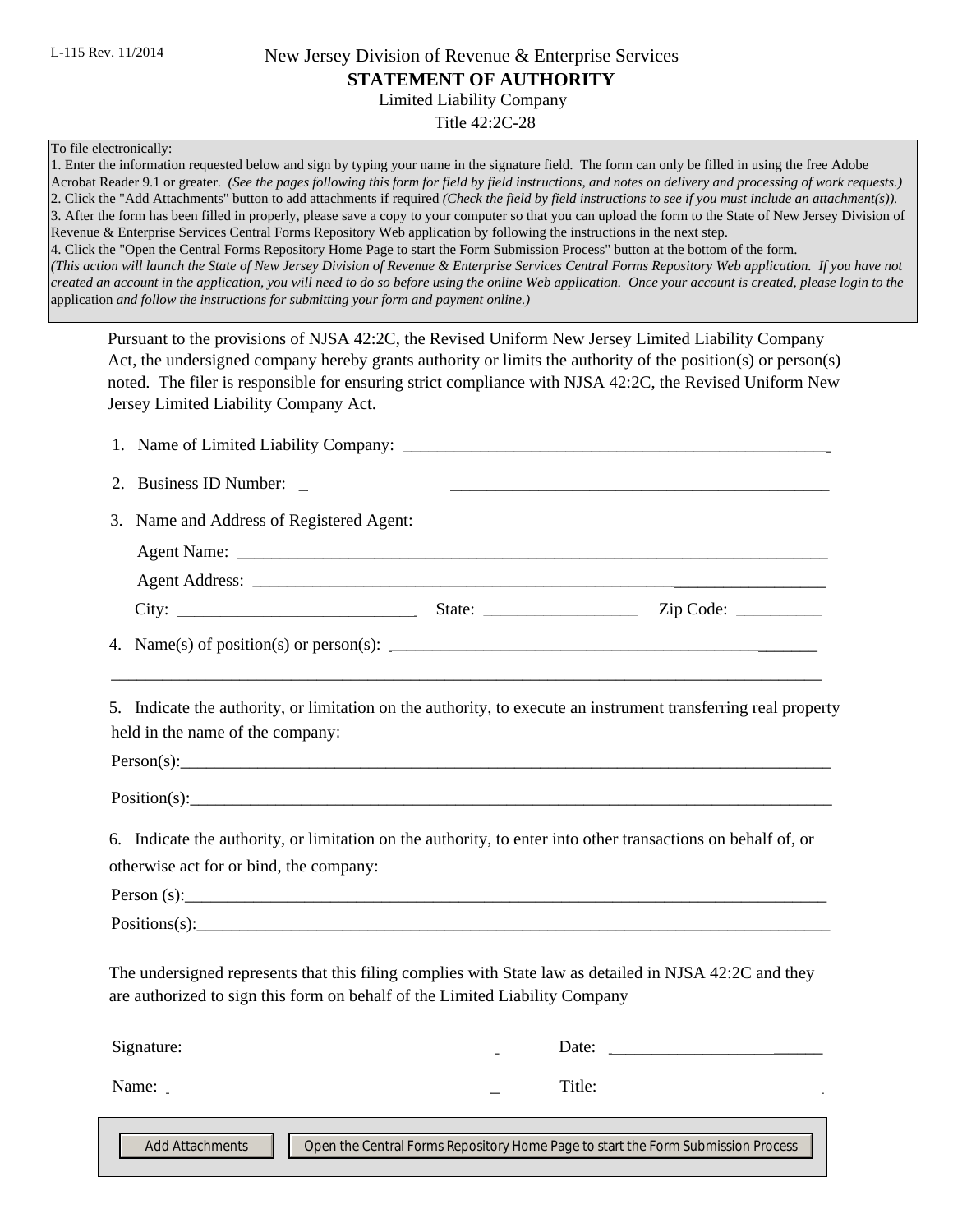## New Jersey Division of Revenue & Enterprise Services **STATEMENT OF AUTHORITY**

**Limited Liability Company** 

Title 42:2C-28

#### To file electronically:

1. Enter the information requested below and sign by typing your name in the signature field. The form can only be filled in using the free Adobe Acrobat Reader 9.1 or greater. (See the pages following this form for field by field instructions, and notes on delivery and processing of work requests.) 2. Click the "Add Attachments" button to add attachments if required (Check the field by field instructions to see if you must include an attachment(s)). 3. After the form has been filled in properly, please save a copy to your computer so that you can upload the form to the State of New Jersey Division of Revenue & Enterprise Services Central Forms Repository Web application by following the instructions in the next step. 4. Click the "Open the Central Forms Repository Home Page to start the Form Submission Process" button at the bottom of the form. (This action will launch the State of New Jersey Division of Revenue & Enterprise Services Central Forms Repository Web application. If you have not created an account in the application, you will need to do so before using the online Web application. Once your account is created, please login to the application and follow the instructions for submitting your form and payment online.)

Pursuant to the provisions of NJSA 42:2C, the Revised Uniform New Jersey Limited Liability Company Act, the undersigned company hereby grants authority or limits the authority of the position(s) or person(s) noted. The filer is responsible for ensuring strict compliance with NJSA 42:2C, the Revised Uniform New Jersey Limited Liability Company Act.

| <b>Business ID Number:</b><br>2.                                            |        |                                                                                                                |
|-----------------------------------------------------------------------------|--------|----------------------------------------------------------------------------------------------------------------|
| Name and Address of Registered Agent:<br>3.                                 |        |                                                                                                                |
| <b>Agent Name:</b>                                                          |        |                                                                                                                |
| <b>Agent Address:</b>                                                       |        |                                                                                                                |
| City:                                                                       | State: | Zip Code:                                                                                                      |
|                                                                             |        |                                                                                                                |
| held in the name of the company:                                            |        | 5. Indicate the authority, or limitation on the authority, to execute an instrument transferring real property |
|                                                                             |        |                                                                                                                |
|                                                                             |        | $Position(s):$ $\qquad \qquad$                                                                                 |
| otherwise act for or bind, the company:                                     |        | 6. Indicate the authority, or limitation on the authority, to enter into other transactions on behalf of, or   |
|                                                                             |        |                                                                                                                |
|                                                                             |        | Positions(s):                                                                                                  |
| are authorized to sign this form on behalf of the Limited Liability Company |        | The undersigned represents that this filing complies with State law as detailed in NJSA 42:2C and they         |
| Signature:                                                                  |        |                                                                                                                |
|                                                                             |        | Title:                                                                                                         |
| 1 L L<br><b>Add Attachments</b>                                             |        | Open the Central Forms Repository Home Page to start the Form Submission Process                               |